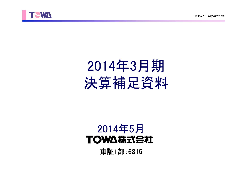**TOWA Corporation**



# 2014年3月期 決算補足資料

## 2014年5月TOWA株式会社

東証1部:6315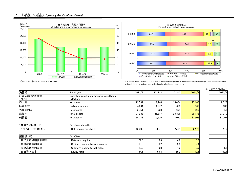## Ⅰ.決算概況(連結) Operating Results (Consolidated)





 ①Net sales ②Ordinary income to net sales a.Precision molds b.Semiconductor plastic encapsulation systems c.Semiconductor plastic encapsulation systems for LED d.Singulation parts and systems e. Engineering plastic molded products

|                    |                                                           |        |        |        |        | (単位:百万円/¥Millions) |
|--------------------|-----------------------------------------------------------|--------|--------|--------|--------|--------------------|
| 決算期                | Fiscal year                                               | 2011/3 | 2012/3 | 2013/3 | 2014/3 | 2013/9             |
| 経営成績·財政状態<br>(百万円) | Operating results and financial conditions<br>(¥Millions) |        |        |        |        |                    |
| 売上高                | Net sales                                                 | 22,592 | 17,140 | 16,454 | 17,165 | 8,328              |
| 経常利益               | Ordinary income                                           | 4,064  | 1,672  | 663    | 666    | 100                |
| 当期純利益              | Net income                                                | 3.751  | 968    | 691    | 568    | 52                 |
| 総資産                | Total assets                                              | 27,288 | 26,817 | 25,896 | 29,132 | 27,210             |
| 純資産                | Net assets                                                | 14,771 | 15,926 | 17,072 | 17,909 | 17.207             |
| 1株当たり指標(円)         | Per share data $(\frac{4}{3})$                            |        |        |        |        |                    |
| 1株当たり当期純利益         | Net income per share                                      | 150.00 | 38.71  | 27.64  | 22.72  | 2.10               |
| 諸指標(%)             | Data(% )                                                  |        |        |        |        |                    |
| 自己資本当期純利益率         | Return on equity                                          | 29.0   | 6.3    | 4.2    | 3.3    |                    |
| 総資産経常利益率           | Ordinary income to total assets                           | 15.0   | 6.2    | 2.5    | 2.4    |                    |
| 売上高経常利益率           | Ordinary income to net sales                              | 18.0   | 9.8    | 4.0    | 3.9    | 1.2                |
| 自己資本比率             | Equity ratio                                              | 54.1   | 59.4   | 65.2   | 60.6   | 62.4               |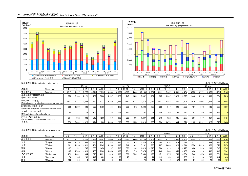### Ⅱ.四半期売上高動向(連結) Quarterly Net Sales (Consolidated)





| 製品別売上高 Net sales by product group                       |                                                        |         |       |           |         |        |         |         |           |       |        |         |         |           |       |        |         |         | (単位:百万円/¥Millions) |                       |        |
|---------------------------------------------------------|--------------------------------------------------------|---------|-------|-----------|---------|--------|---------|---------|-----------|-------|--------|---------|---------|-----------|-------|--------|---------|---------|--------------------|-----------------------|--------|
|                                                         |                                                        |         |       | 2011/3    |         |        |         | 2012/3  |           |       |        |         |         | 2013/3    |       | 2014/3 |         |         |                    |                       |        |
| 決算期                                                     | Fiscal year                                            | $4 - 6$ | $-9$  | $10 - 12$ | $1 - 3$ | 通期     | $4 - 6$ | $7 - 9$ | $10 - 12$ |       | 通期     | $4 - 6$ | $7 - 9$ | $10 - 12$ | $-3$  | 通期     | $4 - 6$ | $7 - 9$ | $10 - 12$          | $1 - 3$               | 通期     |
| 売上高合計                                                   | Total sales                                            | 5,317   | 7.227 | 5.777     | 4.27    | 22,592 | 4.009   | 3,803   | 4,665     | 4,660 | 17,140 | 5,604   | 5,111   | 3,237     | 2,501 | 16,454 | 3,555   | 4.772   | 3,076              | 5.761                 | 17,165 |
| 半導体製造用等精密金型<br>(1) Precision molds                      |                                                        | .852    | 2.104 | 2.121     | 1,787   | 7,866  | 1.537   | 1.320   | 1.745     | .859  | 6.462  | 1.984   | 1.665   | .247      | .026  | 5.923  | 1.443   | 1.723   | 1.009              | 1.634                 | 5.810  |
| モールディング装置                                               | 2) Semiconductor plastic encapsulation systems         | 2.421   | 3.371 | 2.888     | 1.630   | 10.313 | .529    | 1.657   | 2.152     | 2.173 | 7,513  | 3.052   | 2.623   | .254      | 870   | 7.801  | 1.479   | 2.007   | 1.406              | 2.958                 | 7.852  |
| LED樹脂封止装置·金型                                            | 3) Semiconductor plastic encapsulation systems for LED | 698     | .290  | 420       | 377     | 2.786  | 544     | 418     | 333       | 312   | 1.608  | 187     | 299     | 347       | 220   | 1.055  | 197     | 378     | 133                | 657                   | 1.367  |
| シンギュレーション装置<br>4) Singulation parts and systems         |                                                        | 40      | 127   | 13        | 155     | 337    | 38      | 104     | 111       | 12    | 267    | 67      | 204     | 65        | 57    | 395    | 82      | 285     | 158                | 182h                  | 710    |
| ファインプラスチック成形品<br>5) Engineering plastic molded products |                                                        | 304     | 332   | 332       | 319     | '.289  | 359     | 303     | 323       | 301   | 1.287  | 311     | 318     | 322       | 325   | 1.277  | 351     | 377     | 367                | 327                   | 1.424  |
| 月平均                                                     |                                                        | .772    | 2.409 | .926      | 1.424   | .883   | 1.336   | 1.268   | 1.555     | .553  | 1.428  | 1.868   | .704    | .079      | 834   | 1.371  | 1.185   | 1.591   | .025               | l.920 <mark>ll</mark> | 1.430  |

|        | 地域別売上高 Net sales by geographic area |         |       |           |              |        |                 |         |           |       |        |         |                 |           |            |        |         |                 |           | (単位:百万円/¥Millions) |        |  |
|--------|-------------------------------------|---------|-------|-----------|--------------|--------|-----------------|---------|-----------|-------|--------|---------|-----------------|-----------|------------|--------|---------|-----------------|-----------|--------------------|--------|--|
| 2011/3 |                                     |         |       |           |              |        | 2012/3          |         |           |       |        |         |                 | 2013/3    |            |        | 2014/3  |                 |           |                    |        |  |
| 決算期    | Fiscal year                         | $4 - 6$ | 1-9   | $10 - 12$ | $1 - 3$      | 通期     | $4 - 6$         | $7 - 9$ | $10 - 12$ | 1-3   | 通期     | $4 - 6$ | $7 - 9$         | $10 - 12$ | -3         | 通期     | $4 - 6$ | 7-9             | $10 - 12$ | -3                 | 通期     |  |
| 売上高合計  | Total sales                         | 5.317   | 7.227 | 5.777     | 4.271        | 22.592 | 4.009           | 3.803   | 4.665     | 4.660 | 17.140 | 5.604   | 5.111           | 3.237     | 2.501      | 16.454 | 3,555   | 4.772           | 3.076     | 5.761              | 17,165 |  |
| 日本     | 6)Japan                             | 889     | .735  | 936       | 943          | 4.507  | 688             | 925     | .030      | 675   | 3.320  | 702     | 590             | 614       | 614        | 2.521  | 5271    | 772             | 654       | .195               | 3.150  |  |
| 台湾     | 7) Taiwan                           | 1.661   | .920  | 1.611     | 751          | 5.945  | .103            | 695     | 912       | 421   | 3.132  | 595     | .227            | .068      | 423        | 3.314  | .556    | 1.619           | 873       | .326               | 5.376  |  |
| 韓国     | 8) Korea                            | 187     | 152   | 737       | 380          | .458   | 237             | 510     | 393       | 282   | .423   | 2.215   | 764             | 329       | 119        | 3.428  | 408     | 528             | 189       | 618                | 1.745  |  |
| 中国     | <b>9</b> China                      | 1.125   | .786  | 1.319     | <b>1.130</b> | 5.363  | 1.050           | 903     | 701       | 718   | 3.374  | 903     | 1.248           | 583       | 453        | 3.189  | 436     | 926             | 462       | 116                | 2.941  |  |
| その他アジア | 10 Other asia                       | 1.279   | .431  | 904       | 675          | 4.291  | 823             | 688     | 1.598     | 2.539 | 5.649  | .129    | 1.151           | 575       | <b>748</b> | 3.604  | 543     | 870             | 609       | .361               | 3,384  |  |
| 米州     | 11)America                          |         | 145   | 268       | 117          | 602    | 94              | 32      | 25        |       | 164    | 14      | 112             | 53        | 89         | 269    | 31      | 20 <sub>1</sub> | 263       | 112I               | 428    |  |
| 欧州     | 12Europe                            | 103     |       |           | 270          | 423    | 10 <sub>1</sub> | 47      |           |       |        | 441     | 16 <sub>1</sub> | 12        | 52         | 126h   | 51      | 34              | 23        | 29                 | 137    |  |

TOWA株式会社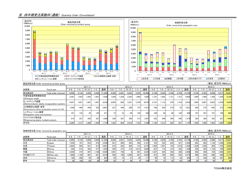#### Ⅲ.四半期受注高動向(連結) Quarterly Order (Consolidated)



|                                                         | exhibit with a credit reserved by product group        |         |         |        |       |        |         |       |           |       |        |         |                 |           |       |        |         |         |           |       |        |
|---------------------------------------------------------|--------------------------------------------------------|---------|---------|--------|-------|--------|---------|-------|-----------|-------|--------|---------|-----------------|-----------|-------|--------|---------|---------|-----------|-------|--------|
|                                                         |                                                        |         |         | 2011/3 |       |        |         |       | 2012/3    |       |        |         |                 | 2013/3    |       |        |         |         | 2014/3    |       |        |
| 決算期                                                     | Fiscal year                                            | $4 - 6$ | $7 - 9$ |        | ∣−3   | 通期     | $4 - 6$ | 7–9   | $10 - 12$ |       | 通期     | $4 - 6$ | 7–a             | $10 - 12$ | '–3   | 通期     | $4 - 6$ | $7 - 9$ | $10 - 12$ | -3    | 通期     |
| 受注高合計                                                   | Total order received                                   | 8.989   | 4,132   | 3,858  | 4,304 | 21,285 | 4.265   | 2.891 | 6,053     | 5,255 | 18,466 | 5,190   | 3,039           | 2,766     | 2.763 | 13.759 | 4,740   | 4,454   | 5,048     | 5.677 | 19,921 |
| 半導体製造用等精密金型<br>1)Precision molds                        |                                                        | 2.587   | 1.554   | 1.455  | 1.841 | 7,438  | 1.558   | 1.236 | 2.263     | 1.969 | 7.028  | 1.797   | 1.052           | 1.131     | 1.101 | 5.083  | 1.980   | 1.490   | 1.326     | 1.539 | 6,336  |
| モールディング装置                                               | 2) Semiconductor plastic encapsulation systems         | 4.437   | 1.651   | 1.587  | 1.657 | 9,334  | 2.055   | 982   | 3.221     | 2.720 | 8.978  | 2.741   | 1.119           | 970       | .103  | 5.934  | 1.904   | 2.067   | 2.643     | 3,339 | 9.954  |
| LED樹脂封止装置·金型                                            | 3) Semiconductor plastic encapsulation systems for LED | 1.546   | 465     | 454    | 335   | 2.801  | 227     | 348   | 289       | 147   | 1.013  | 168     | 529             | 270       | 53    | 1.021  | 365     | 275     | 642       | 273   | 1,556  |
| シンギュレーション装置<br>4) Singulation parts and systems         |                                                        | 101     | 132     | 35     | 142   | 411    | 73      |       | $-29$     | 103   | 164    | 160     | 30 <sup>1</sup> | 901       | 158   | 439    | 107     | 257     | 101       | 198   | 664    |
| ファインプラスチック成形品<br>5) Engineering plastic molded products |                                                        | 316     | 327     | 326    | 327   | 1.298  | 350     | 307   | 309       | 313   | 1,281  | 322     | 306             | 304       | 346   | 1.279  | 383     | 362     | 335       | 327   | 1.409  |
| 月平均                                                     |                                                        | 2,996   | 1.377   | 1.286  | 1.435 | 1.774  | 1.422   | 964   | 2.018     | .752  | 1.539  | .730    | 1,013           | 922       | 9211  | 1.147  | .580    | 1.485   | 1.683     | .892  | 1,660  |

|        | 地域別受注高 Order received by geographic area |       |       |                 |       |        |         |        |           |       |        |         |        |           |       |        |         |       | (単位:百万円/¥Millions) |         |        |  |  |
|--------|------------------------------------------|-------|-------|-----------------|-------|--------|---------|--------|-----------|-------|--------|---------|--------|-----------|-------|--------|---------|-------|--------------------|---------|--------|--|--|
|        |                                          |       |       | 2011/3          |       |        |         | 2012/3 |           |       |        |         | 2013/3 |           |       |        |         |       | 2014/3             |         |        |  |  |
| 決算期    | Fiscal year                              | 4-6   | 1-c   | $10 - 12$       | -3    | 通期     | $4 - 6$ | -9     | $10 - 12$ |       | 通期     | $4 - 6$ | r—u    | $10 - 12$ | -3    | 通期     | $4 - 6$ | 1-9   | $10 - 12$          | $1 - 3$ | 通期     |  |  |
| 受注高合計  | Total order received                     | 8.989 | 4.132 | 3,858           | 4.304 | 21,285 | 4.265   | 2,891  | 6,053     | 5,255 | 18.466 | 5.190   | 3.039  | 2.766     | 2.763 | 13.759 | 4.740   | 4.454 | 5.048              | 5.67    | 19,921 |  |  |
| 日本     | 6)Japan                                  | 1.038 | 781   | 853             | 875   | 3,548  | 821     | 906    | 963       | 495   | 3,187  | 7031    | 593    | 645       | 551   | 2.494  | 602     | 802   | 1.130              | 1.048   | 3,583  |  |  |
| 台湾     | 7)Taiwan                                 | 2.863 | 992   | 921             | 913   | 5.691  | 615     | 642    | 602       | 512   | 2.372  | .492    | 1.027  | 793       | 1.079 | 4.392  | .639    | .299  | 894                | 1.793   | 5,626  |  |  |
| 韓国     | 8) Korea                                 | 546   | 415   | 395             | 277   | .635   | 435     | 375    | 219       | 2,573 | 3.604  | 637     | 119    | 219       | 352   | .328   | 592     | 583   | 1.139              | 330     | 2.645  |  |  |
| 中国     | <b>9</b> China                           | 2.456 | 376   | 907             | 1.198 | 4.938  | 1.801   | 746    |           | 981   | 3.520  | .327    | 564    | 284       | 389   | 2.566  | 902     | 598   | 794                | 1.046   | 3.341  |  |  |
| その他アジア | 100ther asia                             | 1.886 | 1.108 | 601             | 921   | 4.518  | 503     | 196    | 4.202     | 657   | 5.559  | 912     | 704    | 668       | 293   | 2.579  | 966     | 823   | 990                | 989     | 3.770  |  |  |
| 米州     | (11)America                              | 168   | 268   |                 | 90    | 623    |         |        |           | 251   | 117    |         |        | 112       | 34    | 263    |         | 330   | 49                 | 467     | 864    |  |  |
| 欧州     | 12Europe                                 | 29    | 188   | 84 <sub>1</sub> | 261   | 329    |         |        |           |       | 104    |         |        |           | 62    | 134    | 20      |       | 50                 |         | 89     |  |  |